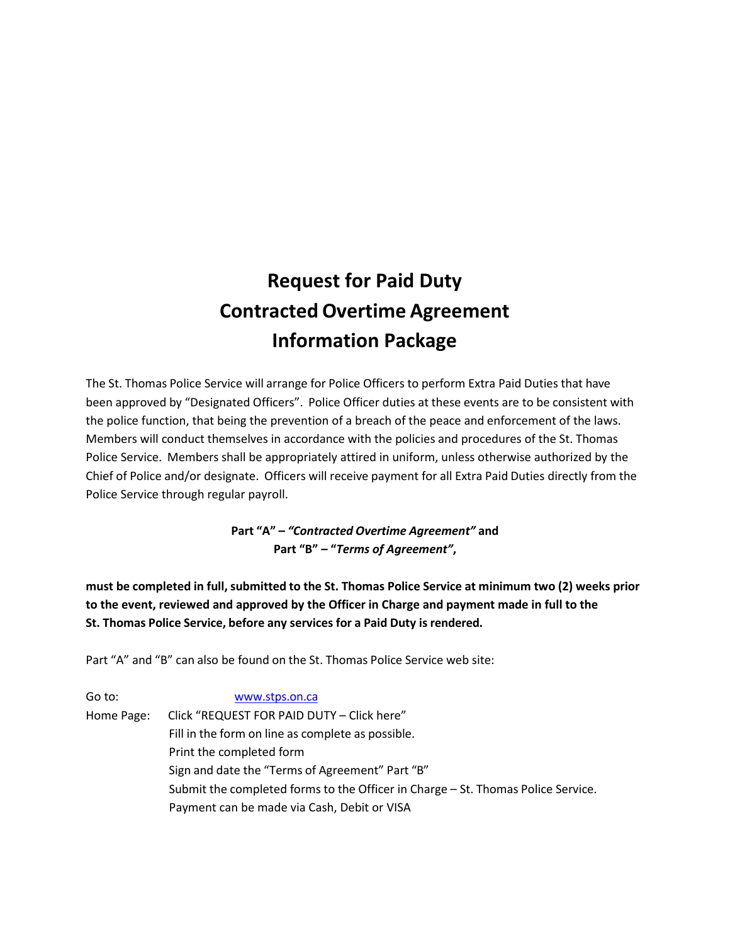# **Request for Paid Duty Contracted Overtime Agreement Information Package**

The St. Thomas Police Service will arrange for Police Officers to perform Extra Paid Duties that have been approved by "Designated Officers". Police Officer duties at these events are to be consistent with the police function, that being the prevention of a breach of the peace and enforcement of the laws. Members will conduct themselves in accordance with the policies and procedures of the St. Thomas Police Service. Members shall be appropriately attired in uniform, unless otherwise authorized by the Chief of Police and/or designate. Officers will receive payment for all Extra Paid Duties directly from the Police Service through regular payroll.

> **Part "A" –** *"Contracted Overtime Agreement"* **and Part "B" – "***Terms of Agreement"***,**

**must be completed in full,submitted to the St. Thomas Police Service at minimum two (2) weeks prior to the event, reviewed and approved by the Officer in Charge and payment made in full to the St. Thomas Police Service, before any services for a Paid Duty isrendered.**

Part "A" and "B" can also be found on the St. Thomas Police Service web site:

Go to: [www.stps.on.ca](http://www.stps.on.ca/) Home Page: Click "REQUEST FOR PAID DUTY – Click here" Fill in the form on line as complete as possible. Print the completed form Sign and date the "Terms of Agreement" Part "B" Submit the completed forms to the Officer in Charge – St. Thomas Police Service. Payment can be made via Cash, Debit or VISA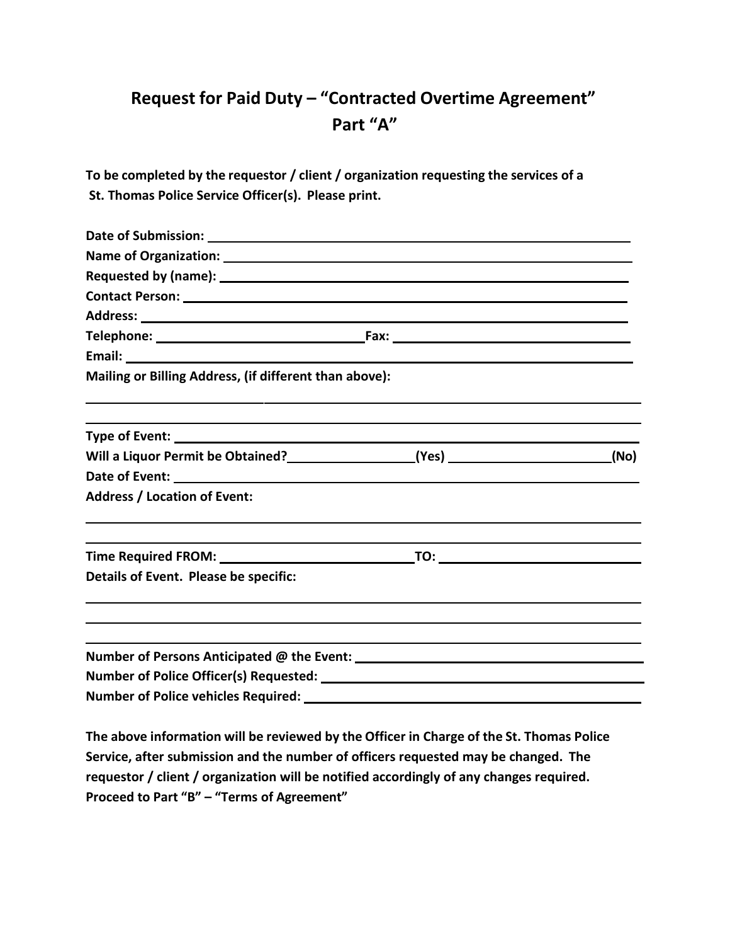### **Request for Paid Duty – "Contracted Overtime Agreement" Part "A"**

**To be completed by the requestor / client / organization requesting the services of a St. Thomas Police Service Officer(s). Please print.**

| Email: Note: 2008 and 2008 and 2008 and 2008 and 2008 and 2008 and 2008 and 2008 and 2008 and 2008 and 2008 and 2008 and 2008 and 2008 and 2008 and 2008 and 2008 and 2008 and 2008 and 2008 and 2008 and 2008 and 2008 and 20 |                                                                                                                     |  |  |  |  |  |  |
|--------------------------------------------------------------------------------------------------------------------------------------------------------------------------------------------------------------------------------|---------------------------------------------------------------------------------------------------------------------|--|--|--|--|--|--|
| Mailing or Billing Address, (if different than above):                                                                                                                                                                         |                                                                                                                     |  |  |  |  |  |  |
|                                                                                                                                                                                                                                |                                                                                                                     |  |  |  |  |  |  |
|                                                                                                                                                                                                                                |                                                                                                                     |  |  |  |  |  |  |
|                                                                                                                                                                                                                                |                                                                                                                     |  |  |  |  |  |  |
| <b>Address / Location of Event:</b>                                                                                                                                                                                            |                                                                                                                     |  |  |  |  |  |  |
|                                                                                                                                                                                                                                |                                                                                                                     |  |  |  |  |  |  |
| Details of Event. Please be specific:                                                                                                                                                                                          |                                                                                                                     |  |  |  |  |  |  |
|                                                                                                                                                                                                                                |                                                                                                                     |  |  |  |  |  |  |
|                                                                                                                                                                                                                                |                                                                                                                     |  |  |  |  |  |  |
|                                                                                                                                                                                                                                |                                                                                                                     |  |  |  |  |  |  |
| Number of Police vehicles Required: ____                                                                                                                                                                                       | <u> 1989 - Jan Barat, prima politik a postal de la provincia de la provincia de la provincia de la provincia de</u> |  |  |  |  |  |  |

**The above information will be reviewed by the Officer in Charge of the St. Thomas Police Service, after submission and the number of officers requested may be changed. The requestor / client / organization will be notified accordingly of any changes required. Proceed to Part "B" – "Terms of Agreement"**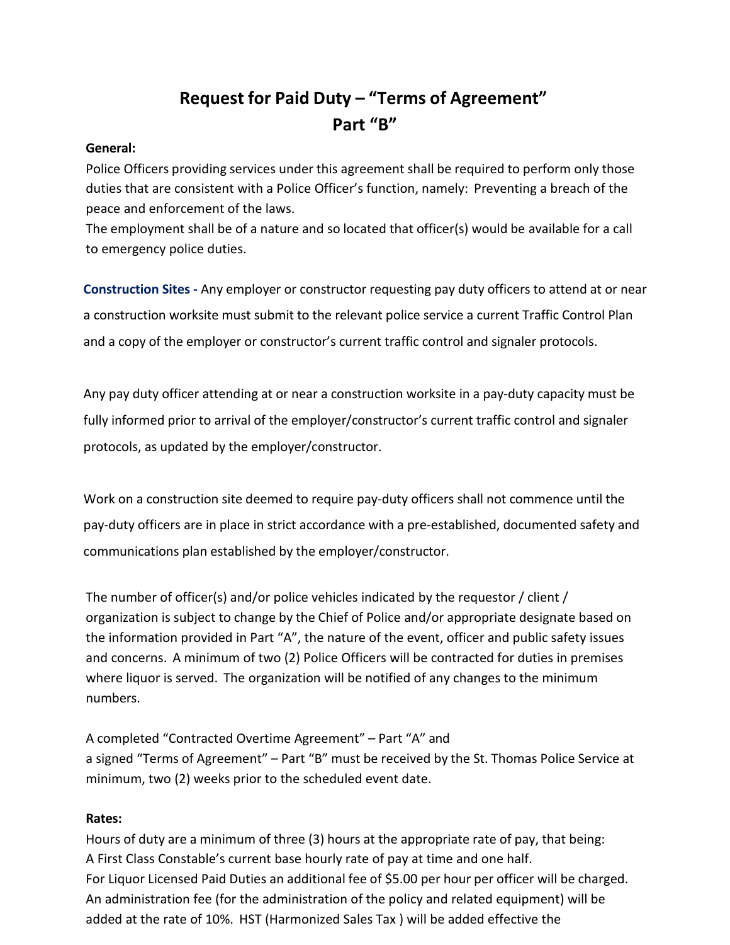## **Request for Paid Duty – "Terms of Agreement" Part "B"**

#### **General:**

Police Officers providing services under this agreement shall be required to perform only those duties that are consistent with a Police Officer's function, namely: Preventing a breach of the peace and enforcement of the laws.

The employment shall be of a nature and so located that officer(s) would be available for a call to emergency police duties.

**Construction Sites -** Any employer or constructor requesting pay duty officers to attend at or near a construction worksite must submit to the relevant police service a current Traffic Control Plan and a copy of the employer or constructor's current traffic control and signaler protocols.

Any pay duty officer attending at or near a construction worksite in a pay-duty capacity must be fully informed prior to arrival of the employer/constructor's current traffic control and signaler protocols, as updated by the employer/constructor.

Work on a construction site deemed to require pay-duty officers shall not commence until the pay-duty officers are in place in strict accordance with a pre-established, documented safety and communications plan established by the employer/constructor.

The number of officer(s) and/or police vehicles indicated by the requestor / client / organization is subject to change by the Chief of Police and/or appropriate designate based on the information provided in Part "A", the nature of the event, officer and public safety issues and concerns. A minimum of two (2) Police Officers will be contracted for duties in premises where liquor is served. The organization will be notified of any changes to the minimum numbers.

A completed "Contracted Overtime Agreement" – Part "A" and a signed "Terms of Agreement" – Part "B" must be received by the St. Thomas Police Service at minimum, two (2) weeks prior to the scheduled event date.

#### **Rates:**

Hours of duty are a minimum of three (3) hours at the appropriate rate of pay, that being: A First Class Constable's current base hourly rate of pay at time and one half. For Liquor Licensed Paid Duties an additional fee of \$5.00 per hour per officer will be charged. An administration fee (for the administration of the policy and related equipment) will be added at the rate of 10%. HST (Harmonized Sales Tax ) will be added effective the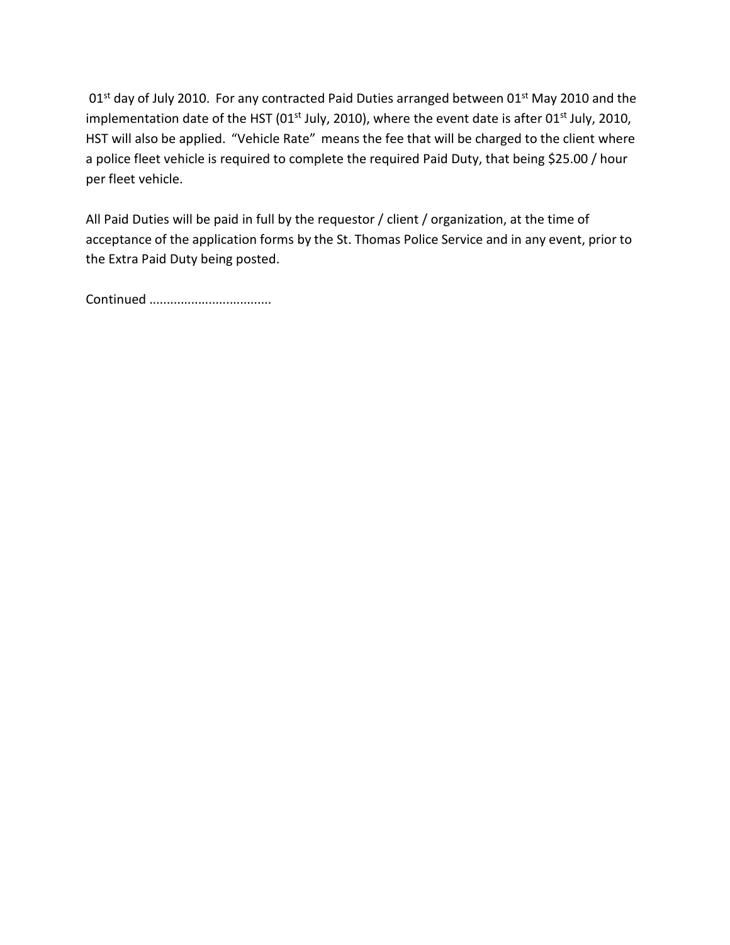01<sup>st</sup> day of July 2010. For any contracted Paid Duties arranged between 01<sup>st</sup> May 2010 and the implementation date of the HST (01<sup>st</sup> July, 2010), where the event date is after 01<sup>st</sup> July, 2010, HST will also be applied. "Vehicle Rate" means the fee that will be charged to the client where a police fleet vehicle is required to complete the required Paid Duty, that being \$25.00 / hour per fleet vehicle.

All Paid Duties will be paid in full by the requestor / client / organization, at the time of acceptance of the application forms by the St. Thomas Police Service and in any event, prior to the Extra Paid Duty being posted.

Continued ...................................